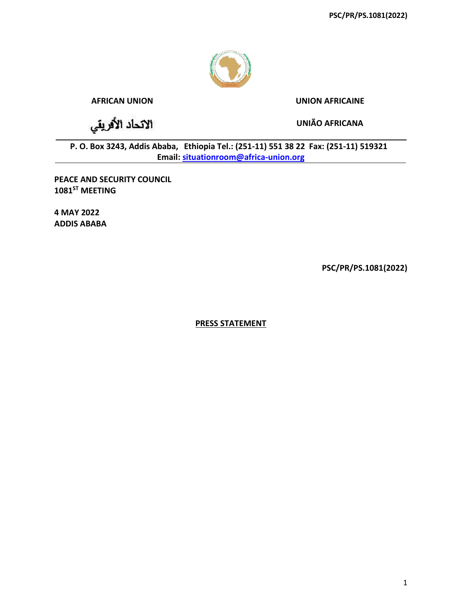

## **AFRICAN UNION UNION AFRICAINE**

الاتحاد الأفريقي

**UNIÃO AFRICANA**

**P. O. Box 3243, Addis Ababa, Ethiopia Tel.: (251-11) 551 38 22 Fax: (251-11) 519321 Email: [situationroom@africa-union.org](mailto:situationroom@africa-union.org)**

**PEACE AND SECURITY COUNCIL 1081ST MEETING**

**4 MAY 2022 ADDIS ABABA**

**PSC/PR/PS.1081(2022)**

**PRESS STATEMENT**